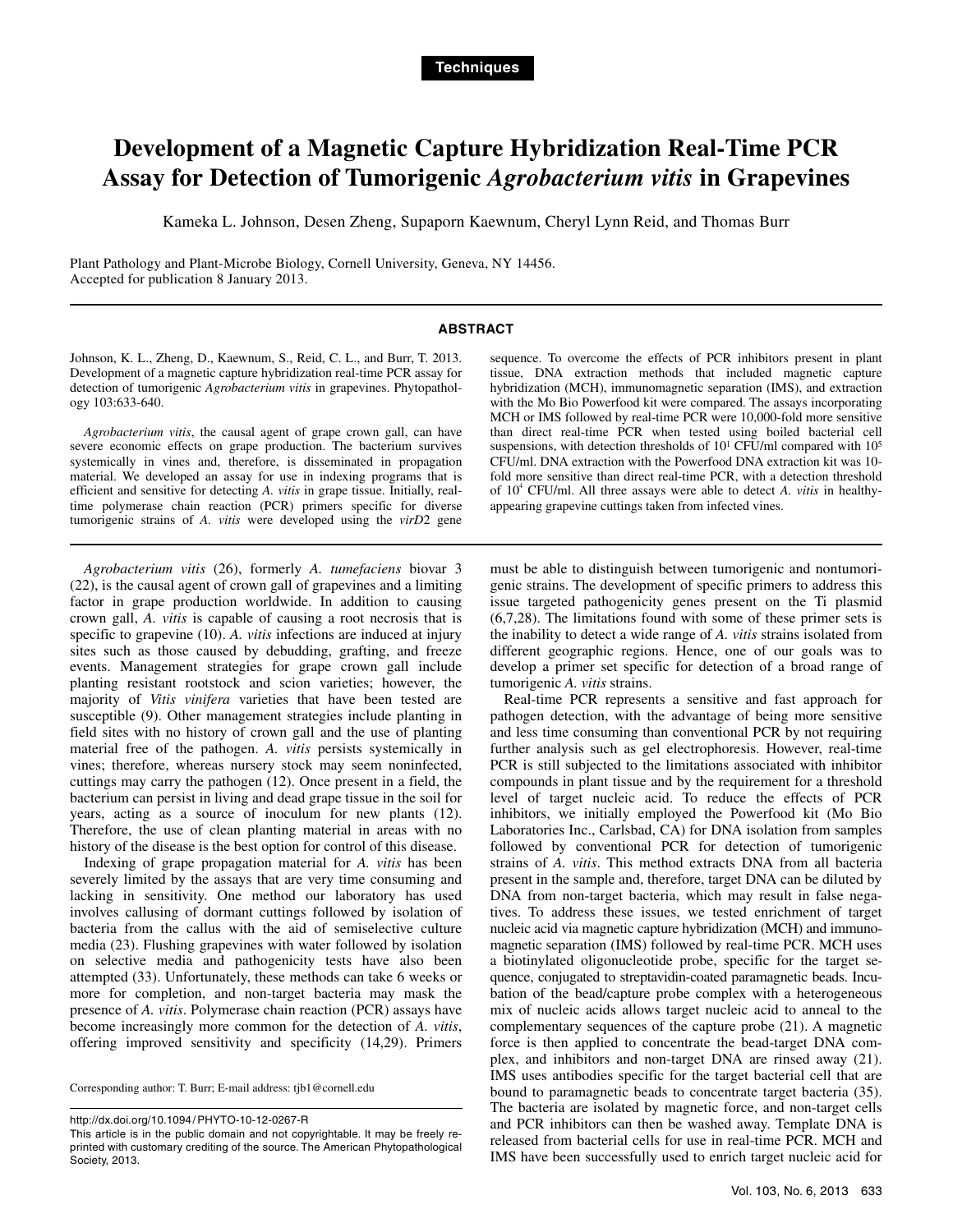# **Development of a Magnetic Capture Hybridization Real-Time PCR Assay for Detection of Tumorigenic** *Agrobacterium vitis* **in Grapevines**

Kameka L. Johnson, Desen Zheng, Supaporn Kaewnum, Cheryl Lynn Reid, and Thomas Burr

Plant Pathology and Plant-Microbe Biology, Cornell University, Geneva, NY 14456. Accepted for publication 8 January 2013.

## **ABSTRACT**

Johnson, K. L., Zheng, D., Kaewnum, S., Reid, C. L., and Burr, T. 2013. Development of a magnetic capture hybridization real-time PCR assay for detection of tumorigenic *Agrobacterium vitis* in grapevines. Phytopathology 103:633-640.

*Agrobacterium vitis*, the causal agent of grape crown gall, can have severe economic effects on grape production. The bacterium survives systemically in vines and, therefore, is disseminated in propagation material. We developed an assay for use in indexing programs that is efficient and sensitive for detecting *A. vitis* in grape tissue. Initially, realtime polymerase chain reaction (PCR) primers specific for diverse tumorigenic strains of *A. vitis* were developed using the *virD*2 gene

*Agrobacterium vitis* (26), formerly *A. tumefaciens* biovar 3 (22), is the causal agent of crown gall of grapevines and a limiting factor in grape production worldwide. In addition to causing crown gall, *A. vitis* is capable of causing a root necrosis that is specific to grapevine (10). *A. vitis* infections are induced at injury sites such as those caused by debudding, grafting, and freeze events. Management strategies for grape crown gall include planting resistant rootstock and scion varieties; however, the majority of *Vitis vinifera* varieties that have been tested are susceptible (9). Other management strategies include planting in field sites with no history of crown gall and the use of planting material free of the pathogen. *A. vitis* persists systemically in vines; therefore, whereas nursery stock may seem noninfected, cuttings may carry the pathogen (12). Once present in a field, the bacterium can persist in living and dead grape tissue in the soil for years, acting as a source of inoculum for new plants (12). Therefore, the use of clean planting material in areas with no history of the disease is the best option for control of this disease.

Indexing of grape propagation material for *A. vitis* has been severely limited by the assays that are very time consuming and lacking in sensitivity. One method our laboratory has used involves callusing of dormant cuttings followed by isolation of bacteria from the callus with the aid of semiselective culture media (23). Flushing grapevines with water followed by isolation on selective media and pathogenicity tests have also been attempted (33). Unfortunately, these methods can take 6 weeks or more for completion, and non-target bacteria may mask the presence of *A. vitis*. Polymerase chain reaction (PCR) assays have become increasingly more common for the detection of *A. vitis*, offering improved sensitivity and specificity (14,29). Primers

Corresponding author: T. Burr; E-mail address: tjb1@cornell.edu

sequence. To overcome the effects of PCR inhibitors present in plant tissue, DNA extraction methods that included magnetic capture hybridization (MCH), immunomagnetic separation (IMS), and extraction with the Mo Bio Powerfood kit were compared. The assays incorporating MCH or IMS followed by real-time PCR were 10,000-fold more sensitive than direct real-time PCR when tested using boiled bacterial cell suspensions, with detection thresholds of  $10<sup>1</sup>$  CFU/ml compared with  $10<sup>5</sup>$ CFU/ml. DNA extraction with the Powerfood DNA extraction kit was 10 fold more sensitive than direct real-time PCR, with a detection threshold of 10<sup>4</sup> CFU/ml. All three assays were able to detect *A. vitis* in healthyappearing grapevine cuttings taken from infected vines.

must be able to distinguish between tumorigenic and nontumorigenic strains. The development of specific primers to address this issue targeted pathogenicity genes present on the Ti plasmid (6,7,28). The limitations found with some of these primer sets is the inability to detect a wide range of *A. vitis* strains isolated from different geographic regions. Hence, one of our goals was to develop a primer set specific for detection of a broad range of tumorigenic *A. vitis* strains.

Real-time PCR represents a sensitive and fast approach for pathogen detection, with the advantage of being more sensitive and less time consuming than conventional PCR by not requiring further analysis such as gel electrophoresis. However, real-time PCR is still subjected to the limitations associated with inhibitor compounds in plant tissue and by the requirement for a threshold level of target nucleic acid. To reduce the effects of PCR inhibitors, we initially employed the Powerfood kit (Mo Bio Laboratories Inc., Carlsbad, CA) for DNA isolation from samples followed by conventional PCR for detection of tumorigenic strains of *A. vitis*. This method extracts DNA from all bacteria present in the sample and, therefore, target DNA can be diluted by DNA from non-target bacteria, which may result in false negatives. To address these issues, we tested enrichment of target nucleic acid via magnetic capture hybridization (MCH) and immunomagnetic separation (IMS) followed by real-time PCR. MCH uses a biotinylated oligonucleotide probe, specific for the target sequence, conjugated to streptavidin-coated paramagnetic beads. Incubation of the bead/capture probe complex with a heterogeneous mix of nucleic acids allows target nucleic acid to anneal to the complementary sequences of the capture probe (21). A magnetic force is then applied to concentrate the bead-target DNA complex, and inhibitors and non-target DNA are rinsed away (21). IMS uses antibodies specific for the target bacterial cell that are bound to paramagnetic beads to concentrate target bacteria (35). The bacteria are isolated by magnetic force, and non-target cells and PCR inhibitors can then be washed away. Template DNA is released from bacterial cells for use in real-time PCR. MCH and IMS have been successfully used to enrich target nucleic acid for

http://dx.doi.org/10.1094/ PHYTO-10-12-0267-R

This article is in the public domain and not copyrightable. It may be freely reprinted with customary crediting of the source. The American Phytopathological Society, 2013.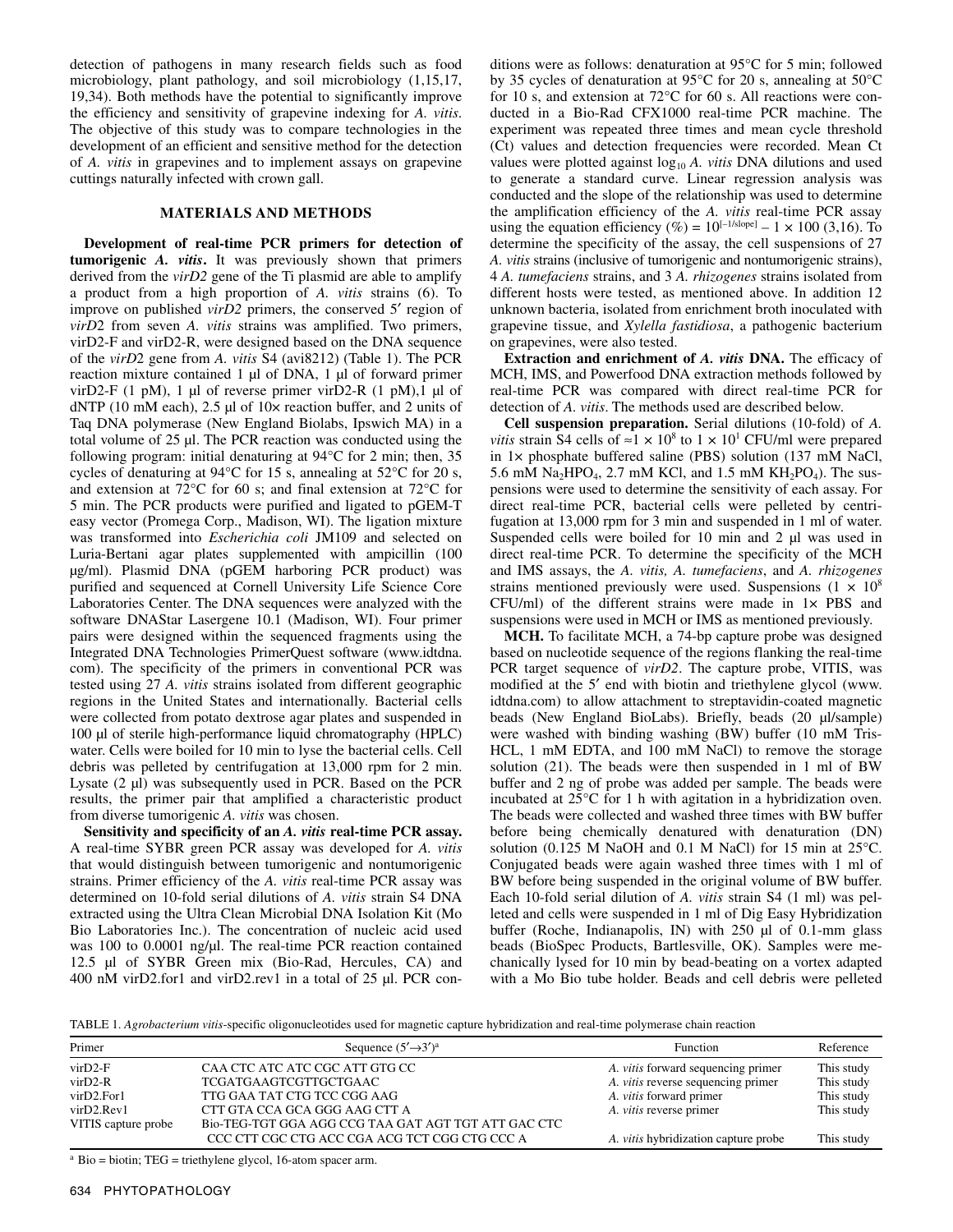detection of pathogens in many research fields such as food microbiology, plant pathology, and soil microbiology (1,15,17, 19,34). Both methods have the potential to significantly improve the efficiency and sensitivity of grapevine indexing for *A. vitis*. The objective of this study was to compare technologies in the development of an efficient and sensitive method for the detection of *A. vitis* in grapevines and to implement assays on grapevine cuttings naturally infected with crown gall.

## **MATERIALS AND METHODS**

**Development of real-time PCR primers for detection of tumorigenic** *A. vitis***.** It was previously shown that primers derived from the *virD2* gene of the Ti plasmid are able to amplify a product from a high proportion of *A. vitis* strains (6). To improve on published *virD2* primers, the conserved 5′ region of *virD*2 from seven *A. vitis* strains was amplified. Two primers, virD2-F and virD2-R, were designed based on the DNA sequence of the *virD*2 gene from *A. vitis* S4 (avi8212) (Table 1). The PCR reaction mixture contained 1 µl of DNA, 1 µl of forward primer virD2-F (1 pM), 1  $\mu$ l of reverse primer virD2-R (1 pM), 1  $\mu$ l of dNTP (10 mM each),  $2.5 \mu$ l of 10 $\times$  reaction buffer, and 2 units of Taq DNA polymerase (New England Biolabs, Ipswich MA) in a total volume of 25 µl. The PCR reaction was conducted using the following program: initial denaturing at 94°C for 2 min; then, 35 cycles of denaturing at  $94^{\circ}$ C for 15 s, annealing at  $52^{\circ}$ C for 20 s, and extension at 72°C for 60 s; and final extension at 72°C for 5 min. The PCR products were purified and ligated to pGEM-T easy vector (Promega Corp., Madison, WI). The ligation mixture was transformed into *Escherichia coli* JM109 and selected on Luria-Bertani agar plates supplemented with ampicillin (100 µg/ml). Plasmid DNA (pGEM harboring PCR product) was purified and sequenced at Cornell University Life Science Core Laboratories Center. The DNA sequences were analyzed with the software DNAStar Lasergene 10.1 (Madison, WI). Four primer pairs were designed within the sequenced fragments using the Integrated DNA Technologies PrimerQuest software (www.idtdna. com). The specificity of the primers in conventional PCR was tested using 27 *A. vitis* strains isolated from different geographic regions in the United States and internationally. Bacterial cells were collected from potato dextrose agar plates and suspended in 100 µl of sterile high-performance liquid chromatography (HPLC) water. Cells were boiled for 10 min to lyse the bacterial cells. Cell debris was pelleted by centrifugation at 13,000 rpm for 2 min. Lysate (2 µl) was subsequently used in PCR. Based on the PCR results, the primer pair that amplified a characteristic product from diverse tumorigenic *A. vitis* was chosen.

**Sensitivity and specificity of an** *A. vitis* **real-time PCR assay.** A real-time SYBR green PCR assay was developed for *A. vitis* that would distinguish between tumorigenic and nontumorigenic strains. Primer efficiency of the *A. vitis* real-time PCR assay was determined on 10-fold serial dilutions of *A. vitis* strain S4 DNA extracted using the Ultra Clean Microbial DNA Isolation Kit (Mo Bio Laboratories Inc.). The concentration of nucleic acid used was 100 to 0.0001 ng/µl. The real-time PCR reaction contained 12.5 µl of SYBR Green mix (Bio-Rad, Hercules, CA) and 400 nM virD2.for1 and virD2.rev1 in a total of 25 µl. PCR conditions were as follows: denaturation at 95°C for 5 min; followed by 35 cycles of denaturation at 95°C for 20 s, annealing at 50°C for 10 s, and extension at 72°C for 60 s. All reactions were conducted in a Bio-Rad CFX1000 real-time PCR machine. The experiment was repeated three times and mean cycle threshold (Ct) values and detection frequencies were recorded. Mean Ct values were plotted against log<sub>10</sub> *A. vitis* DNA dilutions and used to generate a standard curve. Linear regression analysis was conducted and the slope of the relationship was used to determine the amplification efficiency of the *A. vitis* real-time PCR assay using the equation efficiency (%) =  $10^{[-1/\text{slope}]} - 1 \times 100$  (3,16). To determine the specificity of the assay, the cell suspensions of 27 *A. vitis* strains (inclusive of tumorigenic and nontumorigenic strains), 4 *A. tumefaciens* strains, and 3 *A. rhizogenes* strains isolated from different hosts were tested, as mentioned above. In addition 12 unknown bacteria, isolated from enrichment broth inoculated with grapevine tissue, and *Xylella fastidiosa*, a pathogenic bacterium on grapevines, were also tested.

**Extraction and enrichment of** *A. vitis* **DNA.** The efficacy of MCH, IMS, and Powerfood DNA extraction methods followed by real-time PCR was compared with direct real-time PCR for detection of *A. vitis*. The methods used are described below.

**Cell suspension preparation.** Serial dilutions (10-fold) of *A. vitis* strain S4 cells of  $\approx$ 1  $\times$  10<sup>8</sup> to 1  $\times$  10<sup>1</sup> CFU/ml were prepared in 1× phosphate buffered saline (PBS) solution (137 mM NaCl, 5.6 mM Na<sub>2</sub>HPO<sub>4</sub>, 2.7 mM KCl, and 1.5 mM KH<sub>2</sub>PO<sub>4</sub>). The suspensions were used to determine the sensitivity of each assay. For direct real-time PCR, bacterial cells were pelleted by centrifugation at 13,000 rpm for 3 min and suspended in 1 ml of water. Suspended cells were boiled for 10 min and 2 µl was used in direct real-time PCR. To determine the specificity of the MCH and IMS assays, the *A. vitis, A. tumefaciens*, and *A. rhizogenes* strains mentioned previously were used. Suspensions  $(1 \times 10^8)$  $CFU/ml$ ) of the different strains were made in  $1 \times PBS$  and suspensions were used in MCH or IMS as mentioned previously.

**MCH.** To facilitate MCH, a 74-bp capture probe was designed based on nucleotide sequence of the regions flanking the real-time PCR target sequence of *virD2*. The capture probe, VITIS, was modified at the 5′ end with biotin and triethylene glycol (www. idtdna.com) to allow attachment to streptavidin-coated magnetic beads (New England BioLabs). Briefly, beads (20 µl/sample) were washed with binding washing (BW) buffer (10 mM Tris-HCL, 1 mM EDTA, and 100 mM NaCl) to remove the storage solution (21). The beads were then suspended in 1 ml of BW buffer and 2 ng of probe was added per sample. The beads were incubated at 25°C for 1 h with agitation in a hybridization oven. The beads were collected and washed three times with BW buffer before being chemically denatured with denaturation (DN) solution (0.125 M NaOH and 0.1 M NaCl) for 15 min at 25°C. Conjugated beads were again washed three times with 1 ml of BW before being suspended in the original volume of BW buffer. Each 10-fold serial dilution of *A. vitis* strain S4 (1 ml) was pelleted and cells were suspended in 1 ml of Dig Easy Hybridization buffer (Roche, Indianapolis, IN) with 250 µl of 0.1-mm glass beads (BioSpec Products, Bartlesville, OK). Samples were mechanically lysed for 10 min by bead-beating on a vortex adapted with a Mo Bio tube holder. Beads and cell debris were pelleted

TABLE 1. *Agrobacterium vitis*-specific oligonucleotides used for magnetic capture hybridization and real-time polymerase chain reaction

| Primer                                                                       | Sequence $(5' \rightarrow 3')^a$                                                                                                                                               | <b>Function</b>                                                                                                                                     | Reference                                            |
|------------------------------------------------------------------------------|--------------------------------------------------------------------------------------------------------------------------------------------------------------------------------|-----------------------------------------------------------------------------------------------------------------------------------------------------|------------------------------------------------------|
| $virD2-F$<br>$virD2-R$<br>virD2.For1<br>$virD2$ .Rev1<br>VITIS capture probe | CAA CTC ATC ATC CGC ATT GTG CC<br>TCGATGAAGTCGTTGCTGAAC<br>TTG GAA TAT CTG TCC CGG AAG<br>CTT GTA CCA GCA GGG AAG CTT A<br>Bio-TEG-TGT GGA AGG CCG TAA GAT AGT TGT ATT GAC CTC | A. <i>vitis</i> forward sequencing primer<br>A. <i>vitis</i> reverse sequencing primer<br>A. vitis forward primer<br>A. <i>vitis</i> reverse primer | This study<br>This study<br>This study<br>This study |
|                                                                              | CCC CTT CGC CTG ACC CGA ACG TCT CGG CTG CCC A                                                                                                                                  | A. <i>vitis</i> hybridization capture probe                                                                                                         | This study                                           |

 $a$  Bio = biotin; TEG = triethylene glycol, 16-atom spacer arm.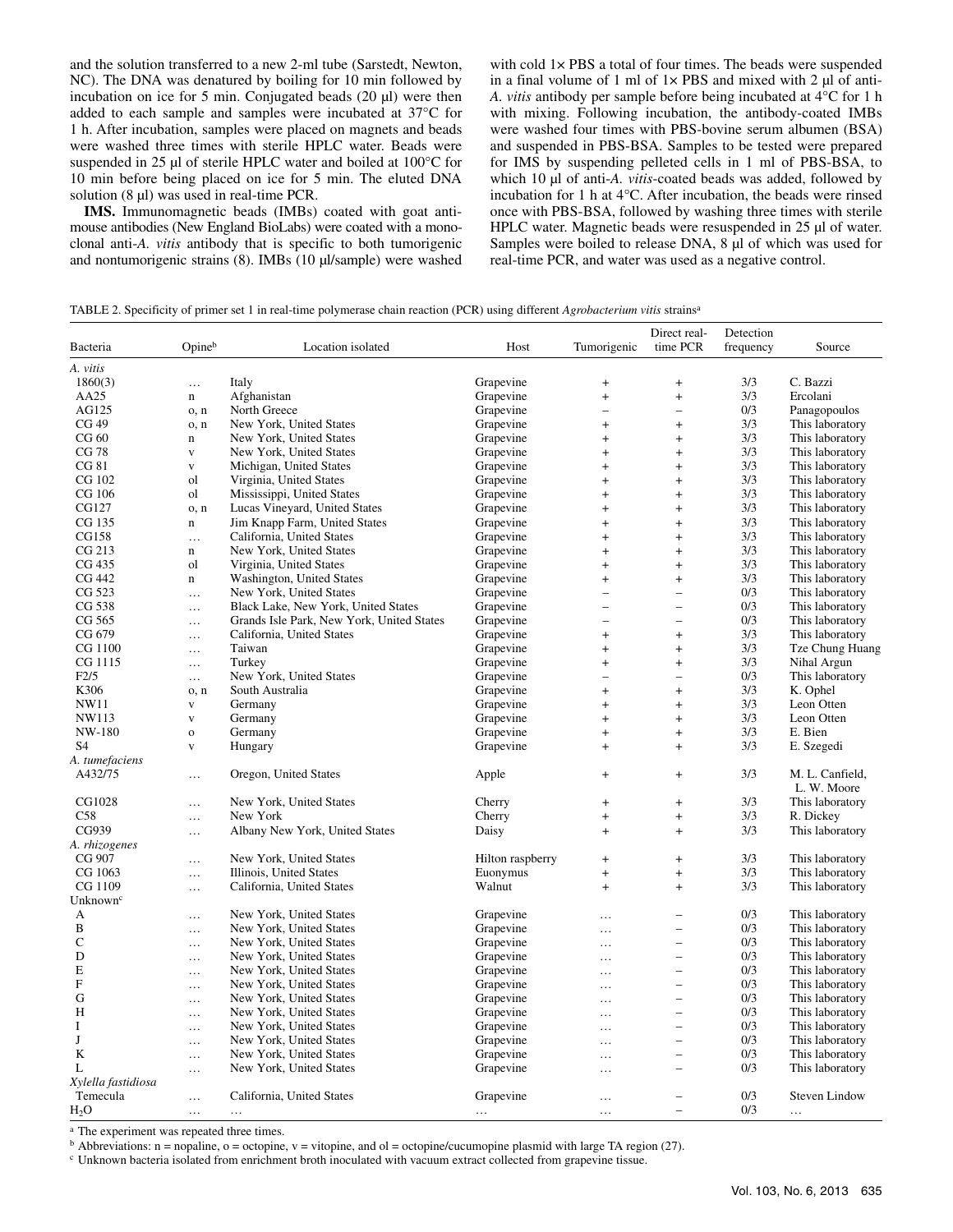and the solution transferred to a new 2-ml tube (Sarstedt, Newton, NC). The DNA was denatured by boiling for 10 min followed by incubation on ice for 5 min. Conjugated beads (20 µl) were then added to each sample and samples were incubated at 37°C for 1 h. After incubation, samples were placed on magnets and beads were washed three times with sterile HPLC water. Beads were suspended in 25 µl of sterile HPLC water and boiled at 100°C for 10 min before being placed on ice for 5 min. The eluted DNA solution (8 µl) was used in real-time PCR.

**IMS.** Immunomagnetic beads (IMBs) coated with goat antimouse antibodies (New England BioLabs) were coated with a monoclonal anti-*A. vitis* antibody that is specific to both tumorigenic and nontumorigenic strains (8). IMBs (10 µl/sample) were washed with cold 1× PBS a total of four times. The beads were suspended in a final volume of 1 ml of  $1 \times PBS$  and mixed with 2  $\mu$ l of anti-*A. vitis* antibody per sample before being incubated at 4°C for 1 h with mixing. Following incubation, the antibody-coated IMBs were washed four times with PBS-bovine serum albumen (BSA) and suspended in PBS-BSA. Samples to be tested were prepared for IMS by suspending pelleted cells in 1 ml of PBS-BSA, to which 10 µl of anti-*A. vitis*-coated beads was added, followed by incubation for 1 h at 4°C. After incubation, the beads were rinsed once with PBS-BSA, followed by washing three times with sterile HPLC water. Magnetic beads were resuspended in 25 µl of water. Samples were boiled to release DNA, 8  $\mu$ l of which was used for real-time PCR, and water was used as a negative control.

|  | TABLE 2. Specificity of primer set 1 in real-time polymerase chain reaction (PCR) using different Agrobacterium vitis strains <sup>a</sup> |
|--|--------------------------------------------------------------------------------------------------------------------------------------------|
|  |                                                                                                                                            |

| Bacteria                  | Opineb                  | Location isolated                         | Host             | Tumorigenic                      | Direct real-<br>time PCR         | Detection<br>frequency | Source                         |
|---------------------------|-------------------------|-------------------------------------------|------------------|----------------------------------|----------------------------------|------------------------|--------------------------------|
| A. vitis                  |                         |                                           |                  |                                  |                                  |                        |                                |
| 1860(3)                   | $\ldots$                | Italy                                     | Grapevine        | $\ddot{}$                        | $\ddot{}$                        | 3/3                    | C. Bazzi                       |
| AA25                      | n                       | Afghanistan                               | Grapevine        | $\ddot{}$                        | $\ddot{}$                        | 3/3                    | Ercolani                       |
| AG125                     | o, n                    | North Greece                              | Grapevine        | $\overline{\phantom{0}}$         | $\overline{\phantom{0}}$         | 0/3                    | Panagopoulos                   |
| CG 49                     | o, n                    | New York, United States                   | Grapevine        | $\ddot{}$                        | $\ddot{}$                        | 3/3                    | This laboratory                |
| CG 60                     | n                       | New York, United States                   | Grapevine        | $\ddot{}$                        | $\ddot{}$                        | 3/3                    | This laboratory                |
| CG 78                     | $\mathbf{V}$            | New York, United States                   | Grapevine        | $\ddot{}$                        | $+$                              | 3/3                    | This laboratory                |
| CG 81                     | $\mathbf{V}$            | Michigan, United States                   | Grapevine        | $\ddot{}$                        | $\ddot{}$                        | 3/3                    | This laboratory                |
| CG 102                    | ol                      | Virginia, United States                   | Grapevine        | $\ddot{}$                        | $\ddot{}$                        | 3/3                    | This laboratory                |
| CG 106                    | ol                      | Mississippi, United States                | Grapevine        | $\ddot{}$                        | $\ddot{}$                        | 3/3                    | This laboratory                |
| CG127                     | o, n                    | Lucas Vineyard, United States             | Grapevine        | $+$                              | $\begin{array}{c} + \end{array}$ | 3/3                    | This laboratory                |
| CG 135                    | n                       | Jim Knapp Farm, United States             | Grapevine        | $\ddot{}$                        | $\ddot{}$                        | 3/3                    | This laboratory                |
| CG158                     | $\ldots$                | California, United States                 | Grapevine        | $\ddot{}$                        | $\ddot{}$                        | 3/3                    | This laboratory                |
| CG 213                    | n                       | New York, United States                   | Grapevine        | $+$                              | $+$                              | 3/3                    | This laboratory                |
| CG 435                    | ol                      | Virginia, United States                   | Grapevine        | $\ddot{}$                        | $+$                              | 3/3                    | This laboratory                |
| CG 442                    | n                       | Washington, United States                 | Grapevine        | $\begin{array}{c} + \end{array}$ | $\begin{array}{c} + \end{array}$ | 3/3                    | This laboratory                |
| CG 523                    | $\cdots$                | New York, United States                   | Grapevine        | $\qquad \qquad -$                | $\qquad \qquad -$                | 0/3                    | This laboratory                |
| CG 538                    | $\ldots$                | Black Lake, New York, United States       | Grapevine        | $\overline{\phantom{0}}$         | $\overline{\phantom{0}}$         | 0/3                    | This laboratory                |
| CG 565                    | $\ldots$                | Grands Isle Park, New York, United States | Grapevine        | $\overline{\phantom{0}}$         | $\overline{\phantom{0}}$         | 0/3                    | This laboratory                |
| CG 679                    | $\ldots$                | California, United States                 | Grapevine        | $\begin{array}{c} + \end{array}$ | $\begin{array}{c} + \end{array}$ | 3/3                    | This laboratory                |
| CG 1100                   | $\ldots$                | Taiwan                                    | Grapevine        | $+$                              | $+$                              | 3/3                    | Tze Chung Huang                |
| CG 1115                   | $\ldots$                | Turkey                                    | Grapevine        | $\begin{array}{c} + \end{array}$ | $^{+}$                           | 3/3                    | Nihal Argun                    |
| F2/5                      | $\ldots$                | New York, United States                   | Grapevine        | $\qquad \qquad -$                | $\overline{a}$                   | 0/3                    | This laboratory                |
| K306                      | o, n                    | South Australia                           | Grapevine        | $\ddot{}$                        | $\ddot{}$                        | 3/3                    | K. Ophel                       |
| <b>NW11</b>               | $\mathbf{V}$            | Germany                                   | Grapevine        | $\ddot{}$                        | $\ddot{}$                        | 3/3                    | Leon Otten                     |
| NW113                     | $\mathbf{V}$            | Germany                                   | Grapevine        | $\ddot{}$                        | $\ddot{}$                        | 3/3                    | Leon Otten                     |
| NW-180                    | $\mathbf{o}$            | Germany                                   | Grapevine        | $\ddot{}$                        | $\ddot{}$                        | 3/3                    | E. Bien                        |
| S4                        | $\overline{\mathbf{V}}$ | Hungary                                   | Grapevine        | $\ddot{}$                        | $\ddot{}$                        | 3/3                    | E. Szegedi                     |
| A. tumefaciens            |                         |                                           |                  |                                  |                                  |                        |                                |
| A432/75                   | $\ldots$                | Oregon, United States                     | Apple            | $\begin{array}{c} + \end{array}$ | $\ddot{}$                        | 3/3                    | M. L. Canfield,<br>L. W. Moore |
| CG1028                    | $\ddotsc$               | New York, United States                   | Cherry           | $\ddot{}$                        | $\ddot{}$                        | 3/3                    | This laboratory                |
| C58                       | $\ldots$                | New York                                  | Cherry           | $+$                              | $\ddot{}$                        | 3/3                    | R. Dickey                      |
| CG939                     | $\ldots$                | Albany New York, United States            | Daisy            | $\ddot{}$                        | $+$                              | 3/3                    | This laboratory                |
| A. rhizogenes             |                         |                                           |                  |                                  |                                  |                        |                                |
| CG 907                    | $\ldots$                | New York, United States                   | Hilton raspberry | $\begin{array}{c} + \end{array}$ | $\begin{array}{c} + \end{array}$ | 3/3                    | This laboratory                |
| CG 1063                   | $\ddotsc$               | Illinois, United States                   | Euonymus         | $\ddot{}$                        | $\ddot{}$                        | 3/3                    | This laboratory                |
| CG 1109                   | $\cdots$                | California, United States                 | Walnut           | $+$                              | $+$                              | 3/3                    | This laboratory                |
| Unknown <sup>c</sup>      |                         |                                           |                  |                                  |                                  |                        |                                |
| А                         | $\cdots$                | New York, United States                   | Grapevine        | $\cdots$                         | $\overline{\phantom{0}}$         | 0/3                    | This laboratory                |
| B                         | $\cdots$                | New York, United States                   | Grapevine        | $\ddotsc$                        | $\overline{\phantom{0}}$         | 0/3                    | This laboratory                |
| $\mathsf{C}$              | $\ldots$                | New York, United States                   | Grapevine        | $\ddotsc$                        | $\overline{a}$                   | 0/3                    | This laboratory                |
| D                         | $\ldots$                | New York, United States                   | Grapevine        | $\cdots$                         | $\overline{\phantom{0}}$         | 0/3                    | This laboratory                |
| E                         | $\cdots$                | New York, United States                   | Grapevine        | $\ldots$                         | $\overline{\phantom{0}}$         | 0/3                    | This laboratory                |
| $\boldsymbol{\mathrm{F}}$ | $\ldots$                | New York, United States                   | Grapevine        | $\ldots$                         | $\overline{\phantom{0}}$         | 0/3                    | This laboratory                |
| G                         | $\ldots$                | New York, United States                   | Grapevine        | $\ddotsc$                        | $\overline{\phantom{0}}$         | 0/3                    | This laboratory                |
| H                         | $\ldots$                | New York, United States                   | Grapevine        | $\ddotsc$                        | $\overline{a}$                   | 0/3                    | This laboratory                |
| I                         | $\ldots$                | New York, United States                   | Grapevine        | $\ldots$                         | $\overline{\phantom{0}}$         | 0/3                    | This laboratory                |
| J                         | $\cdots$                | New York, United States                   | Grapevine        | $\ddotsc$                        | $\overline{\phantom{0}}$         | 0/3                    | This laboratory                |
| K                         | $\ldots$                | New York, United States                   | Grapevine        | $\ddotsc$                        | $\overline{a}$                   | 0/3                    | This laboratory                |
| L                         | $\ldots$                | New York, United States                   | Grapevine        | $\ddotsc$                        | $\overline{\phantom{0}}$         | 0/3                    | This laboratory                |
| Xylella fastidiosa        |                         |                                           |                  |                                  |                                  |                        |                                |
| Temecula                  | $\ldots$                | California, United States                 | Grapevine        | $\cdots$                         |                                  | 0/3                    | <b>Steven Lindow</b>           |
| $H_2O$                    | $\cdots$                |                                           | $\cdots$         | $\cdots$                         |                                  | 0/3                    |                                |

a The experiment was repeated three times.

 $<sup>b</sup>$  Abbreviations: n = nopaline, o = octopine, v = vitopine, and ol = octopine/cucumopine plasmid with large TA region (27).</sup>

c Unknown bacteria isolated from enrichment broth inoculated with vacuum extract collected from grapevine tissue.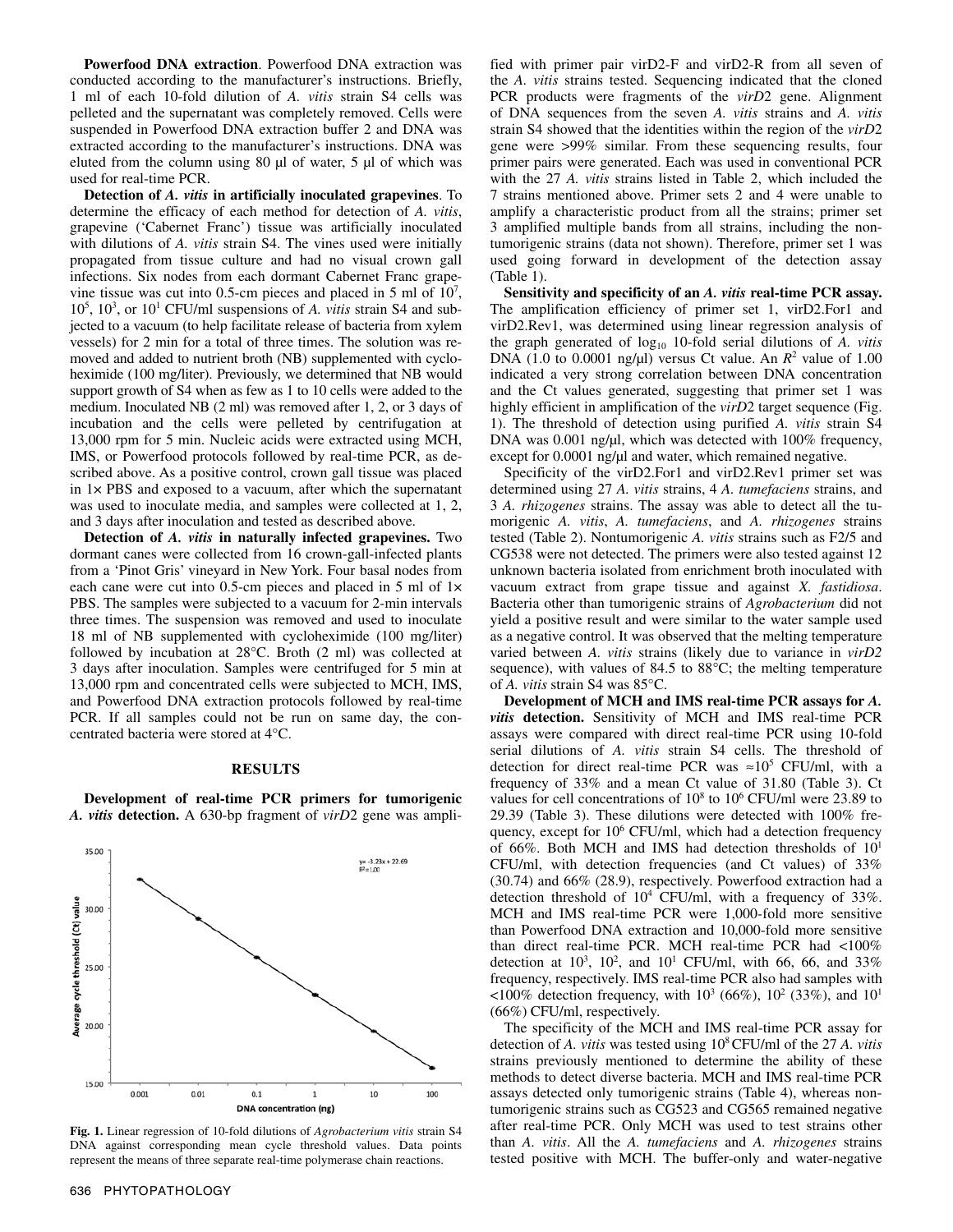**Powerfood DNA extraction**. Powerfood DNA extraction was conducted according to the manufacturer's instructions. Briefly, 1 ml of each 10-fold dilution of *A. vitis* strain S4 cells was pelleted and the supernatant was completely removed. Cells were suspended in Powerfood DNA extraction buffer 2 and DNA was extracted according to the manufacturer's instructions. DNA was eluted from the column using 80 µl of water, 5 µl of which was used for real-time PCR.

**Detection of** *A. vitis* **in artificially inoculated grapevines**. To determine the efficacy of each method for detection of *A. vitis*, grapevine ('Cabernet Franc') tissue was artificially inoculated with dilutions of *A. vitis* strain S4. The vines used were initially propagated from tissue culture and had no visual crown gall infections. Six nodes from each dormant Cabernet Franc grapevine tissue was cut into 0.5-cm pieces and placed in 5 ml of 107 , 10<sup>5</sup>, 10<sup>3</sup>, or 10<sup>1</sup> CFU/ml suspensions of *A. vitis* strain S4 and subjected to a vacuum (to help facilitate release of bacteria from xylem vessels) for 2 min for a total of three times. The solution was removed and added to nutrient broth (NB) supplemented with cycloheximide (100 mg/liter). Previously, we determined that NB would support growth of S4 when as few as 1 to 10 cells were added to the medium. Inoculated NB (2 ml) was removed after 1, 2, or 3 days of incubation and the cells were pelleted by centrifugation at 13,000 rpm for 5 min. Nucleic acids were extracted using MCH, IMS, or Powerfood protocols followed by real-time PCR, as described above. As a positive control, crown gall tissue was placed in  $1 \times PBS$  and exposed to a vacuum, after which the supernatant was used to inoculate media, and samples were collected at 1, 2, and 3 days after inoculation and tested as described above.

**Detection of** *A. vitis* **in naturally infected grapevines.** Two dormant canes were collected from 16 crown-gall-infected plants from a 'Pinot Gris' vineyard in New York. Four basal nodes from each cane were cut into 0.5-cm pieces and placed in 5 ml of 1 $\times$ PBS. The samples were subjected to a vacuum for 2-min intervals three times. The suspension was removed and used to inoculate 18 ml of NB supplemented with cycloheximide (100 mg/liter) followed by incubation at 28°C. Broth (2 ml) was collected at 3 days after inoculation. Samples were centrifuged for 5 min at 13,000 rpm and concentrated cells were subjected to MCH, IMS, and Powerfood DNA extraction protocols followed by real-time PCR. If all samples could not be run on same day, the concentrated bacteria were stored at 4°C.

## **RESULTS**

**Development of real-time PCR primers for tumorigenic**  *A. vitis* **detection.** A 630-bp fragment of *virD*2 gene was ampli-



**Fig. 1.** Linear regression of 10-fold dilutions of *Agrobacterium vitis* strain S4 DNA against corresponding mean cycle threshold values. Data points represent the means of three separate real-time polymerase chain reactions.

fied with primer pair virD2-F and virD2-R from all seven of the *A. vitis* strains tested. Sequencing indicated that the cloned PCR products were fragments of the *virD*2 gene. Alignment of DNA sequences from the seven *A. vitis* strains and *A. vitis* strain S4 showed that the identities within the region of the *virD*2 gene were >99% similar. From these sequencing results, four primer pairs were generated. Each was used in conventional PCR with the 27 *A. vitis* strains listed in Table 2, which included the 7 strains mentioned above. Primer sets 2 and 4 were unable to amplify a characteristic product from all the strains; primer set 3 amplified multiple bands from all strains, including the nontumorigenic strains (data not shown). Therefore, primer set 1 was used going forward in development of the detection assay (Table 1).

**Sensitivity and specificity of an** *A. vitis* **real-time PCR assay.** The amplification efficiency of primer set 1, virD2.For1 and virD2.Rev1, was determined using linear regression analysis of the graph generated of log<sub>10</sub> 10-fold serial dilutions of A. vitis DNA (1.0 to 0.0001 ng/ $\mu$ I) versus Ct value. An  $R^2$  value of 1.00 indicated a very strong correlation between DNA concentration and the Ct values generated, suggesting that primer set 1 was highly efficient in amplification of the *virD2* target sequence (Fig. 1). The threshold of detection using purified *A. vitis* strain S4 DNA was 0.001 ng/µl, which was detected with 100% frequency, except for 0.0001 ng/µl and water, which remained negative.

Specificity of the virD2.For1 and virD2.Rev1 primer set was determined using 27 *A. vitis* strains, 4 *A. tumefaciens* strains, and 3 *A. rhizogenes* strains. The assay was able to detect all the tumorigenic *A. vitis*, *A. tumefaciens*, and *A. rhizogenes* strains tested (Table 2). Nontumorigenic *A. vitis* strains such as F2/5 and CG538 were not detected. The primers were also tested against 12 unknown bacteria isolated from enrichment broth inoculated with vacuum extract from grape tissue and against *X. fastidiosa*. Bacteria other than tumorigenic strains of *Agrobacterium* did not yield a positive result and were similar to the water sample used as a negative control. It was observed that the melting temperature varied between *A. vitis* strains (likely due to variance in *virD2* sequence), with values of 84.5 to 88°C; the melting temperature of *A. vitis* strain S4 was 85°C.

**Development of MCH and IMS real-time PCR assays for** *A. vitis* **detection.** Sensitivity of MCH and IMS real-time PCR assays were compared with direct real-time PCR using 10-fold serial dilutions of *A. vitis* strain S4 cells. The threshold of detection for direct real-time PCR was  $\approx 10^5$  CFU/ml, with a frequency of 33% and a mean Ct value of 31.80 (Table 3). Ct values for cell concentrations of  $10^8$  to  $10^6$  CFU/ml were 23.89 to 29.39 (Table 3). These dilutions were detected with 100% frequency, except for 10<sup>6</sup> CFU/ml, which had a detection frequency of 66%. Both MCH and IMS had detection thresholds of  $10<sup>1</sup>$ CFU/ml, with detection frequencies (and Ct values) of 33% (30.74) and 66% (28.9), respectively. Powerfood extraction had a detection threshold of 104 CFU/ml, with a frequency of 33%. MCH and IMS real-time PCR were 1,000-fold more sensitive than Powerfood DNA extraction and 10,000-fold more sensitive than direct real-time PCR. MCH real-time PCR had <100% detection at  $10^3$ ,  $10^2$ , and  $10^1$  CFU/ml, with 66, 66, and 33% frequency, respectively. IMS real-time PCR also had samples with  $\langle 100\%$  detection frequency, with  $10^3$  (66%),  $10^2$  (33%), and  $10^1$ (66%) CFU/ml, respectively.

The specificity of the MCH and IMS real-time PCR assay for detection of *A. vitis* was tested using 108CFU/ml of the 27 *A. vitis* strains previously mentioned to determine the ability of these methods to detect diverse bacteria. MCH and IMS real-time PCR assays detected only tumorigenic strains (Table 4), whereas nontumorigenic strains such as CG523 and CG565 remained negative after real-time PCR. Only MCH was used to test strains other than *A. vitis*. All the *A. tumefaciens* and *A. rhizogenes* strains tested positive with MCH. The buffer-only and water-negative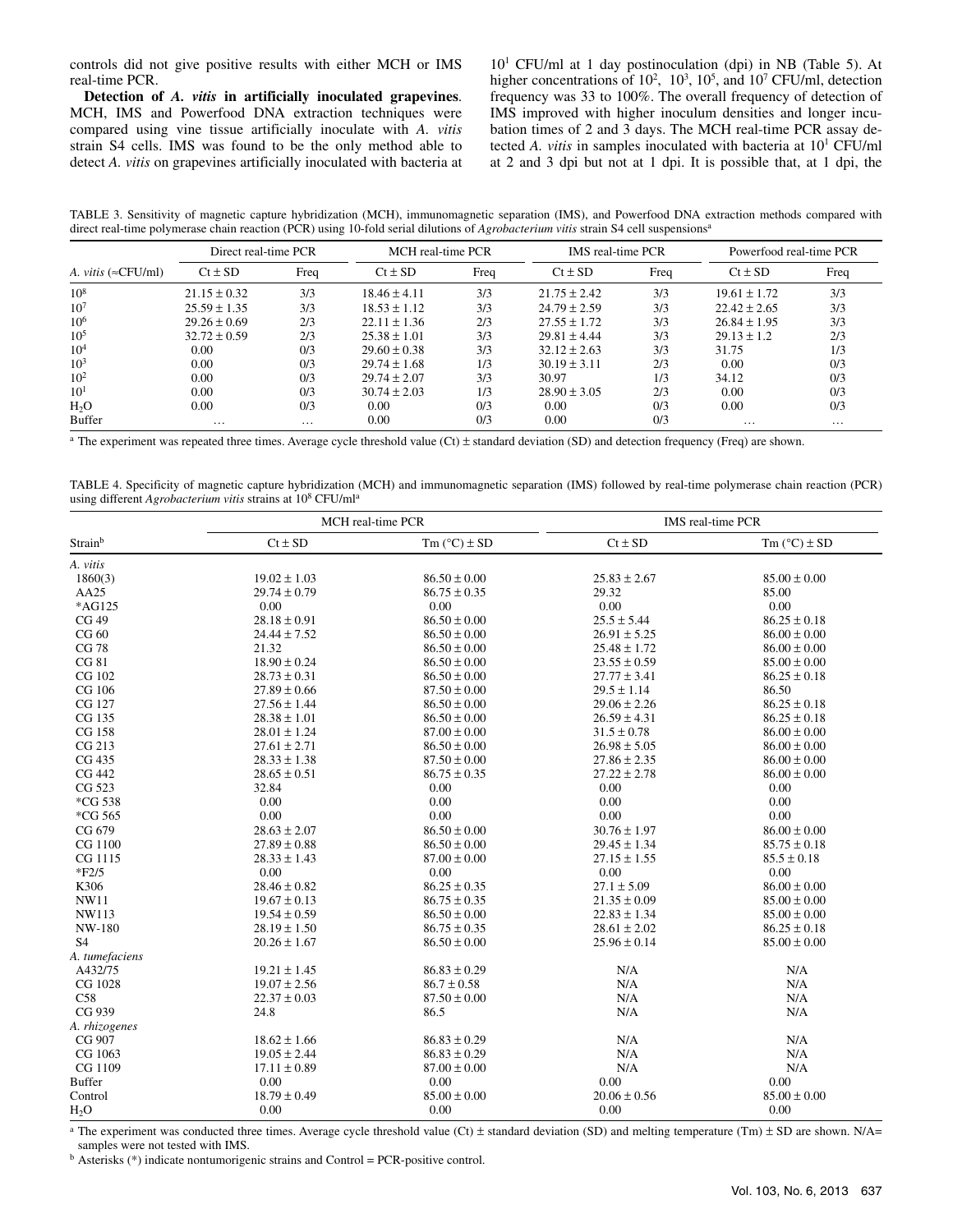controls did not give positive results with either MCH or IMS real-time PCR.

**Detection of** *A. vitis* **in artificially inoculated grapevines**. MCH, IMS and Powerfood DNA extraction techniques were compared using vine tissue artificially inoculate with *A. vitis* strain S4 cells. IMS was found to be the only method able to detect *A. vitis* on grapevines artificially inoculated with bacteria at

101 CFU/ml at 1 day postinoculation (dpi) in NB (Table 5). At higher concentrations of  $10^2$ ,  $10^3$ ,  $10^5$ , and  $10^7$  CFU/ml, detection frequency was 33 to 100%. The overall frequency of detection of IMS improved with higher inoculum densities and longer incubation times of 2 and 3 days. The MCH real-time PCR assay detected *A. vitis* in samples inoculated with bacteria at 10<sup>1</sup> CFU/ml at 2 and 3 dpi but not at 1 dpi. It is possible that, at 1 dpi, the

TABLE 3. Sensitivity of magnetic capture hybridization (MCH), immunomagnetic separation (IMS), and Powerfood DNA extraction methods compared with direct real-time polymerase chain reaction (PCR) using 10-fold serial dilutions of *Agrobacterium vitis* strain S4 cell suspensionsa

|                              | Direct real-time PCR |          | MCH real-time PCR |      | IMS real-time PCR |      | Powerfood real-time PCR |          |
|------------------------------|----------------------|----------|-------------------|------|-------------------|------|-------------------------|----------|
| A. vitis ( $\approx$ CFU/ml) | $Ct \pm SD$          | Freq     | $Ct \pm SD$       | Freq | $Ct \pm SD$       | Freq | $Ct \pm SD$             | Freq     |
| $10^{8}$                     | $21.15 \pm 0.32$     | 3/3      | $18.46 \pm 4.11$  | 3/3  | $21.75 \pm 2.42$  | 3/3  | $19.61 \pm 1.72$        | 3/3      |
| 10 <sup>7</sup>              | $25.59 \pm 1.35$     | 3/3      | $18.53 \pm 1.12$  | 3/3  | $24.79 \pm 2.59$  | 3/3  | $22.42 \pm 2.65$        | 3/3      |
| 10 <sup>6</sup>              | $29.26 \pm 0.69$     | 2/3      | $22.11 \pm 1.36$  | 2/3  | $27.55 \pm 1.72$  | 3/3  | $26.84 \pm 1.95$        | 3/3      |
| $10^{5}$                     | $32.72 \pm 0.59$     | 2/3      | $25.38 \pm 1.01$  | 3/3  | $29.81 \pm 4.44$  | 3/3  | $29.13 \pm 1.2$         | 2/3      |
| $10^{4}$                     | 0.00                 | 0/3      | $29.60 \pm 0.38$  | 3/3  | $32.12 \pm 2.63$  | 3/3  | 31.75                   | 1/3      |
| $10^{3}$                     | 0.00                 | 0/3      | $29.74 \pm 1.68$  | 1/3  | $30.19 \pm 3.11$  | 2/3  | 0.00                    | 0/3      |
| $10^{2}$                     | 0.00                 | 0/3      | $29.74 \pm 2.07$  | 3/3  | 30.97             | 1/3  | 34.12                   | 0/3      |
| $10^{1}$                     | 0.00                 | 0/3      | $30.74 \pm 2.03$  | 1/3  | $28.90 \pm 3.05$  | 2/3  | 0.00                    | 0/3      |
| H <sub>2</sub> O             | 0.00                 | 0/3      | 0.00              | 0/3  | 0.00              | 0/3  | 0.00                    | 0/3      |
| Buffer                       | $\cdots$             | $\cdots$ | 0.00              | 0/3  | 0.00              | 0/3  | $\cdots$                | $\cdots$ |

<sup>a</sup> The experiment was repeated three times. Average cycle threshold value (Ct) ± standard deviation (SD) and detection frequency (Freq) are shown.

TABLE 4. Specificity of magnetic capture hybridization (MCH) and immunomagnetic separation (IMS) followed by real-time polymerase chain reaction (PCR) using different *Agrobacterium vitis* strains at 108 CFU/mla

|                  |                  | MCH real-time PCR       | IMS real-time PCR |                         |  |
|------------------|------------------|-------------------------|-------------------|-------------------------|--|
| Strainb          | $Ct \pm SD$      | Tm $(^{\circ}C) \pm SD$ | $Ct \pm SD$       | Tm $(^{\circ}C) \pm SD$ |  |
| A. vitis         |                  |                         |                   |                         |  |
| 1860(3)          | $19.02 \pm 1.03$ | $86.50 \pm 0.00$        | $25.83 \pm 2.67$  | $85.00 \pm 0.00$        |  |
| AA25             | $29.74 \pm 0.79$ | $86.75 \pm 0.35$        | 29.32             | 85.00                   |  |
| *AG125           | 0.00             | 0.00                    | 0.00              | 0.00                    |  |
| CG 49            | $28.18 \pm 0.91$ | $86.50\pm0.00$          | $25.5 \pm 5.44$   | $86.25 \pm 0.18$        |  |
| CG 60            | $24.44 \pm 7.52$ | $86.50 \pm 0.00$        | $26.91 \pm 5.25$  | $86.00 \pm 0.00$        |  |
| <b>CG 78</b>     | 21.32            | $86.50 \pm 0.00$        | $25.48 \pm 1.72$  | $86.00 \pm 0.00$        |  |
| CG 81            | $18.90 \pm 0.24$ | $86.50 \pm 0.00$        | $23.55 \pm 0.59$  | $85.00 \pm 0.00$        |  |
| CG 102           | $28.73 \pm 0.31$ | $86.50 \pm 0.00$        | $27.77 \pm 3.41$  | $86.25 \pm 0.18$        |  |
| CG 106           | $27.89 \pm 0.66$ | $87.50 \pm 0.00$        | $29.5 \pm 1.14$   | 86.50                   |  |
| CG 127           | $27.56 \pm 1.44$ | $86.50 \pm 0.00$        | $29.06 \pm 2.26$  | $86.25 \pm 0.18$        |  |
| CG 135           | $28.38 \pm 1.01$ | $86.50 \pm 0.00$        | $26.59 \pm 4.31$  | $86.25 \pm 0.18$        |  |
| CG 158           | $28.01 \pm 1.24$ | $87.00 \pm 0.00$        | $31.5 \pm 0.78$   | $86.00 \pm 0.00$        |  |
| CG 213           | $27.61 \pm 2.71$ | $86.50 \pm 0.00$        | $26.98 \pm 5.05$  | $86.00 \pm 0.00$        |  |
| CG 435           | $28.33 \pm 1.38$ | $87.50 \pm 0.00$        | $27.86 \pm 2.35$  | $86.00 \pm 0.00$        |  |
| CG 442           | $28.65 \pm 0.51$ | $86.75 \pm 0.35$        | $27.22 \pm 2.78$  | $86.00 \pm 0.00$        |  |
| CG 523           | 32.84            | 0.00                    | 0.00              | 0.00                    |  |
| *CG 538          | 0.00             | 0.00                    | 0.00              | 0.00                    |  |
| *CG 565          | 0.00             | 0.00                    | 0.00              | 0.00                    |  |
| CG 679           | $28.63 \pm 2.07$ | $86.50 \pm 0.00$        | $30.76 \pm 1.97$  | $86.00 \pm 0.00$        |  |
| CG 1100          | $27.89 \pm 0.88$ | $86.50 \pm 0.00$        | $29.45 \pm 1.34$  | $85.75 \pm 0.18$        |  |
| CG 1115          | $28.33 \pm 1.43$ | $87.00 \pm 0.00$        | $27.15 \pm 1.55$  | $85.5 \pm 0.18$         |  |
| $*F2/5$          | 0.00             | 0.00                    | 0.00              | 0.00                    |  |
| K306             | $28.46 \pm 0.82$ | $86.25 \pm 0.35$        | $27.1 \pm 5.09$   | $86.00 \pm 0.00$        |  |
| NW11             | $19.67 \pm 0.13$ | $86.75 \pm 0.35$        | $21.35 \pm 0.09$  | $85.00 \pm 0.00$        |  |
| NW113            | $19.54 \pm 0.59$ | $86.50 \pm 0.00$        | $22.83 \pm 1.34$  | $85.00 \pm 0.00$        |  |
| NW-180           | $28.19 \pm 1.50$ | $86.75 \pm 0.35$        | $28.61 \pm 2.02$  | $86.25 \pm 0.18$        |  |
| <b>S4</b>        | $20.26 \pm 1.67$ | $86.50 \pm 0.00$        | $25.96 \pm 0.14$  | $85.00 \pm 0.00$        |  |
| A. tumefaciens   |                  |                         |                   |                         |  |
| A432/75          | $19.21 \pm 1.45$ | $86.83 \pm 0.29$        | N/A               | N/A                     |  |
| CG 1028          | $19.07 \pm 2.56$ | $86.7 \pm 0.58$         | N/A               | N/A                     |  |
| C58              | $22.37 \pm 0.03$ | $87.50 \pm 0.00$        | N/A               | N/A                     |  |
| CG 939           | 24.8             | 86.5                    | N/A               | N/A                     |  |
| A. rhizogenes    |                  |                         |                   |                         |  |
| CG 907           | $18.62 \pm 1.66$ | $86.83 \pm 0.29$        | N/A               | N/A                     |  |
| CG 1063          | $19.05 \pm 2.44$ | $86.83 \pm 0.29$        | $\rm N/A$         | $\rm N/A$               |  |
| CG 1109          | $17.11 \pm 0.89$ | $87.00 \pm 0.00$        | N/A               | N/A                     |  |
| <b>Buffer</b>    | 0.00             | 0.00                    | 0.00              | 0.00                    |  |
| Control          | $18.79 \pm 0.49$ | $85.00 \pm 0.00$        | $20.06 \pm 0.56$  | $85.00 \pm 0.00$        |  |
| H <sub>2</sub> O | 0.00             | 0.00                    | 0.00              | 0.00                    |  |

<sup>a</sup> The experiment was conducted three times. Average cycle threshold value (Ct)  $\pm$  standard deviation (SD) and melting temperature (Tm)  $\pm$  SD are shown. N/A= samples were not tested with IMS.

b Asterisks (\*) indicate nontumorigenic strains and Control = PCR-positive control.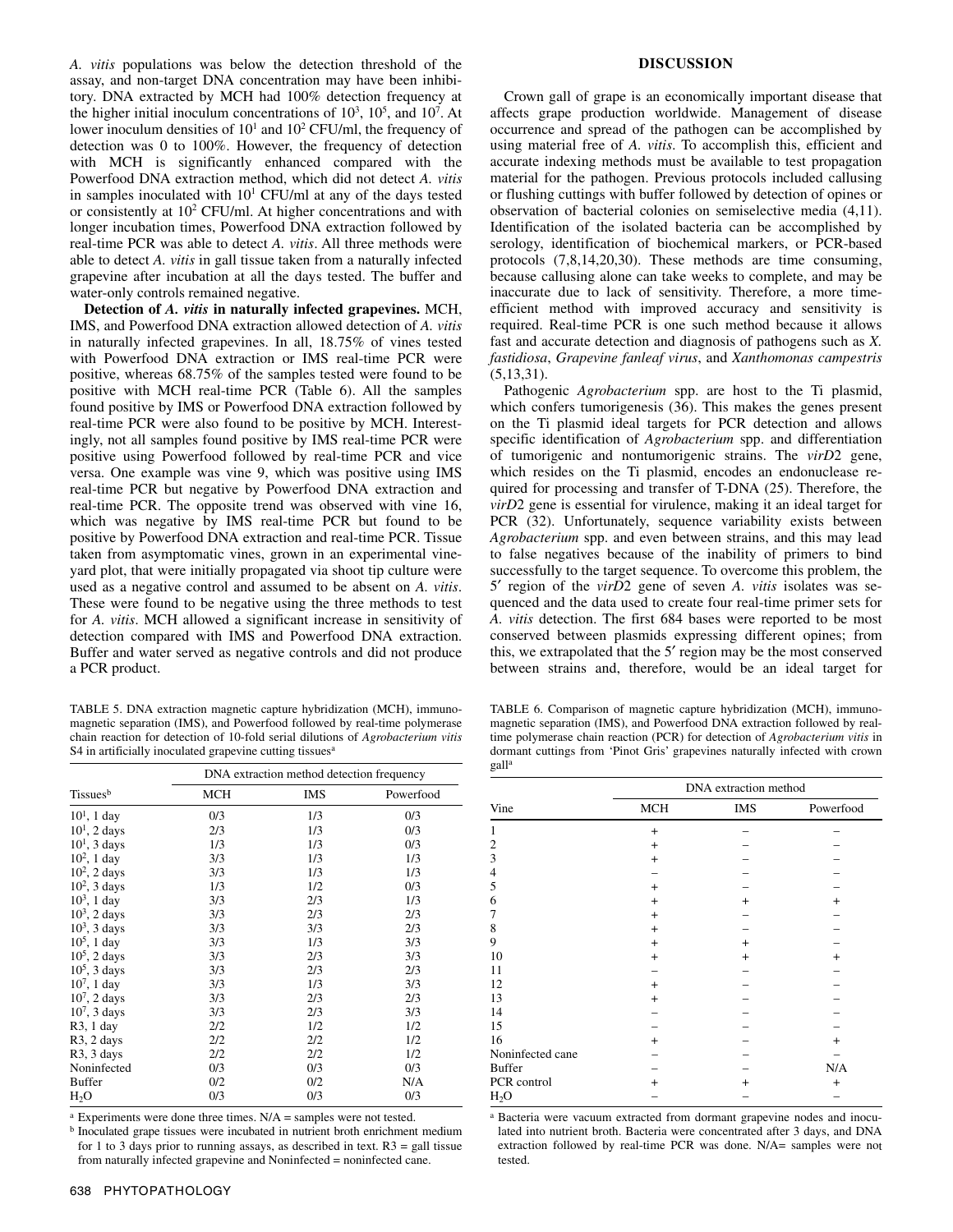*A. vitis* populations was below the detection threshold of the assay, and non-target DNA concentration may have been inhibitory. DNA extracted by MCH had 100% detection frequency at the higher initial inoculum concentrations of  $10^3$ ,  $10^5$ , and  $10^7$ . At lower inoculum densities of  $10<sup>1</sup>$  and  $10<sup>2</sup>$  CFU/ml, the frequency of detection was 0 to 100%. However, the frequency of detection with MCH is significantly enhanced compared with the Powerfood DNA extraction method, which did not detect *A. vitis* in samples inoculated with  $10<sup>1</sup>$  CFU/ml at any of the days tested or consistently at  $10<sup>2</sup>$  CFU/ml. At higher concentrations and with longer incubation times, Powerfood DNA extraction followed by real-time PCR was able to detect *A. vitis*. All three methods were able to detect *A. vitis* in gall tissue taken from a naturally infected grapevine after incubation at all the days tested. The buffer and water-only controls remained negative.

**Detection of** *A. vitis* **in naturally infected grapevines.** MCH, IMS, and Powerfood DNA extraction allowed detection of *A. vitis* in naturally infected grapevines. In all, 18.75% of vines tested with Powerfood DNA extraction or IMS real-time PCR were positive, whereas 68.75% of the samples tested were found to be positive with MCH real-time PCR (Table 6). All the samples found positive by IMS or Powerfood DNA extraction followed by real-time PCR were also found to be positive by MCH. Interestingly, not all samples found positive by IMS real-time PCR were positive using Powerfood followed by real-time PCR and vice versa. One example was vine 9, which was positive using IMS real-time PCR but negative by Powerfood DNA extraction and real-time PCR. The opposite trend was observed with vine 16, which was negative by IMS real-time PCR but found to be positive by Powerfood DNA extraction and real-time PCR. Tissue taken from asymptomatic vines, grown in an experimental vineyard plot, that were initially propagated via shoot tip culture were used as a negative control and assumed to be absent on *A. vitis*. These were found to be negative using the three methods to test for *A. vitis*. MCH allowed a significant increase in sensitivity of detection compared with IMS and Powerfood DNA extraction. Buffer and water served as negative controls and did not produce a PCR product.

TABLE 5. DNA extraction magnetic capture hybridization (MCH), immunomagnetic separation (IMS), and Powerfood followed by real-time polymerase chain reaction for detection of 10-fold serial dilutions of *Agrobacterium vitis* S4 in artificially inoculated grapevine cutting tissues<sup>a</sup>

|                         | DNA extraction method detection frequency |            |           |  |
|-------------------------|-------------------------------------------|------------|-----------|--|
| Tissues <sup>b</sup>    | MCH                                       | <b>IMS</b> | Powerfood |  |
| $101$ , 1 day           | 0/3                                       | 1/3        | 0/3       |  |
| $101$ , 2 days          | 2/3                                       | 1/3        | 0/3       |  |
| $101$ , 3 days          | 1/3                                       | 1/3        | 0/3       |  |
| $10^2$ , 1 day          | 3/3                                       | 1/3        | 1/3       |  |
| $102$ , 2 days          | 3/3                                       | 1/3        | 1/3       |  |
| $102$ , 3 days          | 1/3                                       | 1/2        | 0/3       |  |
| $10^3$ , 1 day          | 3/3                                       | 2/3        | 1/3       |  |
| $103$ , 2 days          | 3/3                                       | 2/3        | 2/3       |  |
| $103$ , 3 days          | 3/3                                       | 3/3        | 2/3       |  |
| $10^5$ , 1 day          | 3/3                                       | 1/3        | 3/3       |  |
| $105$ , 2 days          | 3/3                                       | 2/3        | 3/3       |  |
| $105$ , 3 days          | 3/3                                       | 2/3        | 2/3       |  |
| $10^7$ , 1 day          | 3/3                                       | 1/3        | 3/3       |  |
| $107$ , 2 days          | 3/3                                       | 2/3        | 2/3       |  |
| $107$ , 3 days          | 3/3                                       | 2/3        | 3/3       |  |
| $R3$ , 1 day            | 2/2                                       | 1/2        | 1/2       |  |
| $R3$ , 2 days           | 2/2                                       | 2/2        | 1/2       |  |
| R <sub>3</sub> , 3 days | 2/2                                       | 2/2        | 1/2       |  |
| Noninfected             | 0/3                                       | 0/3        | 0/3       |  |
| <b>Buffer</b>           | 0/2                                       | 0/2        | N/A       |  |
| H <sub>2</sub> O        | 0/3                                       | 0/3        | 0/3       |  |

 $a$  Experiments were done three times. N/A = samples were not tested.

b Inoculated grape tissues were incubated in nutrient broth enrichment medium for 1 to 3 days prior to running assays, as described in text.  $R3 = \text{gall tissue}$ from naturally infected grapevine and Noninfected = noninfected cane.

## **DISCUSSION**

Crown gall of grape is an economically important disease that affects grape production worldwide. Management of disease occurrence and spread of the pathogen can be accomplished by using material free of *A. vitis*. To accomplish this, efficient and accurate indexing methods must be available to test propagation material for the pathogen. Previous protocols included callusing or flushing cuttings with buffer followed by detection of opines or observation of bacterial colonies on semiselective media (4,11). Identification of the isolated bacteria can be accomplished by serology, identification of biochemical markers, or PCR-based protocols (7,8,14,20,30). These methods are time consuming, because callusing alone can take weeks to complete, and may be inaccurate due to lack of sensitivity. Therefore, a more timeefficient method with improved accuracy and sensitivity is required. Real-time PCR is one such method because it allows fast and accurate detection and diagnosis of pathogens such as *X. fastidiosa*, *Grapevine fanleaf virus*, and *Xanthomonas campestris*  (5,13,31).

Pathogenic *Agrobacterium* spp. are host to the Ti plasmid, which confers tumorigenesis (36). This makes the genes present on the Ti plasmid ideal targets for PCR detection and allows specific identification of *Agrobacterium* spp. and differentiation of tumorigenic and nontumorigenic strains. The *virD*2 gene, which resides on the Ti plasmid, encodes an endonuclease required for processing and transfer of T-DNA (25). Therefore, the *virD*2 gene is essential for virulence, making it an ideal target for PCR (32). Unfortunately, sequence variability exists between *Agrobacterium* spp. and even between strains, and this may lead to false negatives because of the inability of primers to bind successfully to the target sequence. To overcome this problem, the 5′ region of the *virD*2 gene of seven *A. vitis* isolates was sequenced and the data used to create four real-time primer sets for *A. vitis* detection. The first 684 bases were reported to be most conserved between plasmids expressing different opines; from this, we extrapolated that the 5′ region may be the most conserved between strains and, therefore, would be an ideal target for

TABLE 6. Comparison of magnetic capture hybridization (MCH), immunomagnetic separation (IMS), and Powerfood DNA extraction followed by realtime polymerase chain reaction (PCR) for detection of *Agrobacterium vitis* in dormant cuttings from 'Pinot Gris' grapevines naturally infected with crown galla

|                  | DNA extraction method |            |                |  |
|------------------|-----------------------|------------|----------------|--|
| Vine             | <b>MCH</b>            | <b>IMS</b> | Powerfood      |  |
| 1                | $^{+}$                |            |                |  |
| $\mathbf{2}$     | $\overline{+}$        |            |                |  |
| 3                | $^{+}$                |            |                |  |
| $\overline{4}$   |                       |            |                |  |
| 5                | $^{+}$                |            |                |  |
| 6                | $^{+}$                | $\pm$      | $^{+}$         |  |
| 7                | $^{+}$                |            |                |  |
| 8                | $^{+}$                |            |                |  |
| 9                | $^{+}$                | $^{+}$     |                |  |
| 10               | $^{+}$                | $^{+}$     | $\overline{+}$ |  |
| 11               |                       |            |                |  |
| 12               | $^{+}$                |            |                |  |
| 13               | $^{+}$                |            |                |  |
| 14               |                       |            |                |  |
| 15               |                       |            |                |  |
| 16               | $^{+}$                |            | $\overline{+}$ |  |
| Noninfected cane |                       |            |                |  |
| <b>Buffer</b>    |                       |            | N/A            |  |
| PCR control      | $\overline{+}$        | $^+$       | $\overline{+}$ |  |
| $H_2O$           |                       |            |                |  |

<sup>a</sup> Bacteria were vacuum extracted from dormant grapevine nodes and inoculated into nutrient broth. Bacteria were concentrated after 3 days, and DNA extraction followed by real-time PCR was done. N/A= samples were not tested.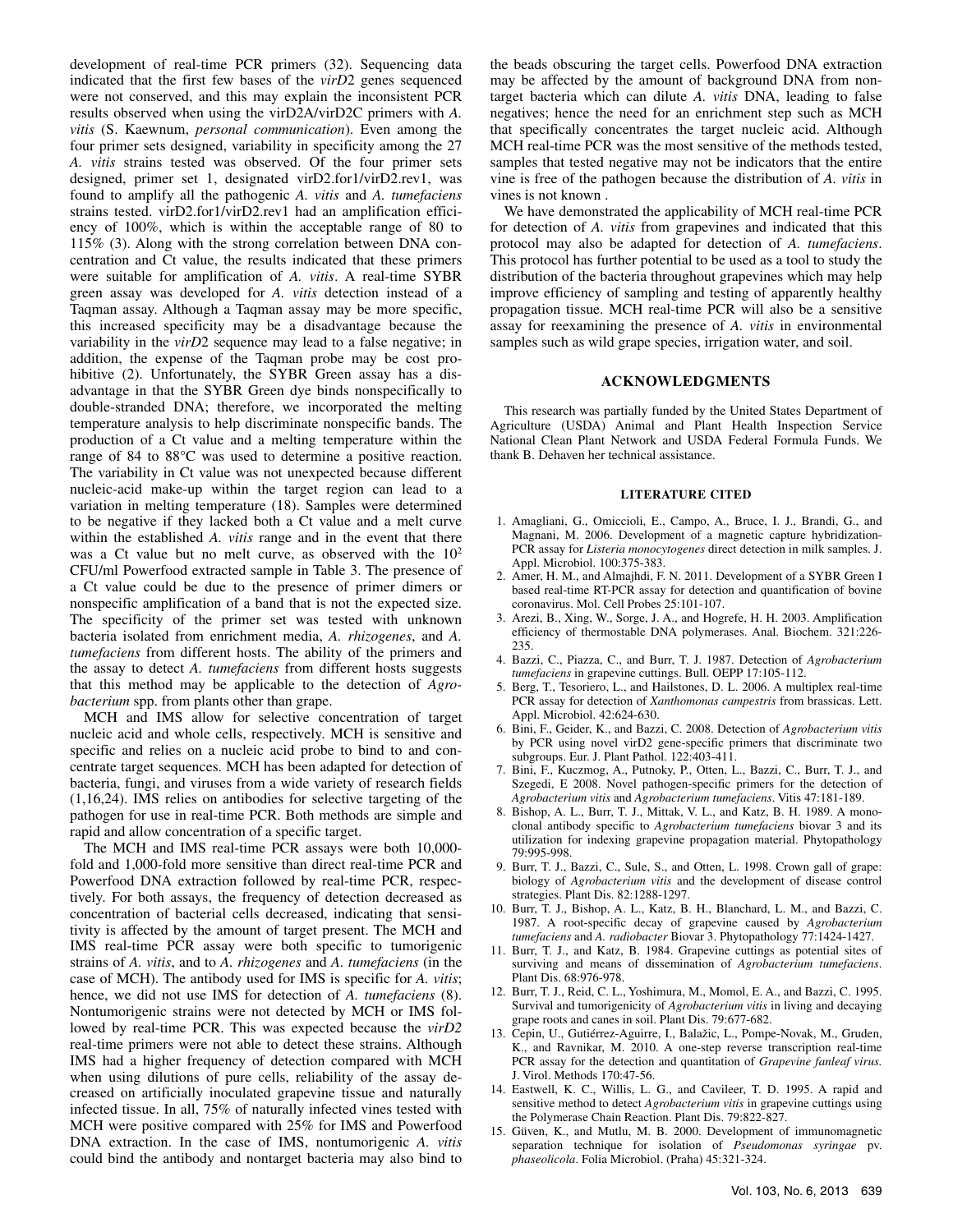development of real-time PCR primers (32). Sequencing data indicated that the first few bases of the *virD*2 genes sequenced were not conserved, and this may explain the inconsistent PCR results observed when using the virD2A/virD2C primers with *A. vitis* (S. Kaewnum, *personal communication*). Even among the four primer sets designed, variability in specificity among the 27 *A. vitis* strains tested was observed. Of the four primer sets designed, primer set 1, designated virD2.for1/virD2.rev1, was found to amplify all the pathogenic *A. vitis* and *A. tumefaciens* strains tested. virD2.for1/virD2.rev1 had an amplification efficiency of 100%, which is within the acceptable range of 80 to 115% (3). Along with the strong correlation between DNA concentration and Ct value, the results indicated that these primers were suitable for amplification of *A. vitis*. A real-time SYBR green assay was developed for *A. vitis* detection instead of a Taqman assay. Although a Taqman assay may be more specific, this increased specificity may be a disadvantage because the variability in the *virD*2 sequence may lead to a false negative; in addition, the expense of the Taqman probe may be cost prohibitive (2). Unfortunately, the SYBR Green assay has a disadvantage in that the SYBR Green dye binds nonspecifically to double-stranded DNA; therefore, we incorporated the melting temperature analysis to help discriminate nonspecific bands. The production of a Ct value and a melting temperature within the range of 84 to 88°C was used to determine a positive reaction. The variability in Ct value was not unexpected because different nucleic-acid make-up within the target region can lead to a variation in melting temperature (18). Samples were determined to be negative if they lacked both a Ct value and a melt curve within the established *A. vitis* range and in the event that there was a Ct value but no melt curve, as observed with the  $10<sup>2</sup>$ CFU/ml Powerfood extracted sample in Table 3. The presence of a Ct value could be due to the presence of primer dimers or nonspecific amplification of a band that is not the expected size. The specificity of the primer set was tested with unknown bacteria isolated from enrichment media, *A. rhizogenes*, and *A. tumefaciens* from different hosts. The ability of the primers and the assay to detect *A. tumefaciens* from different hosts suggests that this method may be applicable to the detection of *Agrobacterium* spp. from plants other than grape.

MCH and IMS allow for selective concentration of target nucleic acid and whole cells, respectively. MCH is sensitive and specific and relies on a nucleic acid probe to bind to and concentrate target sequences. MCH has been adapted for detection of bacteria, fungi, and viruses from a wide variety of research fields (1,16,24). IMS relies on antibodies for selective targeting of the pathogen for use in real-time PCR. Both methods are simple and rapid and allow concentration of a specific target.

The MCH and IMS real-time PCR assays were both 10,000 fold and 1,000-fold more sensitive than direct real-time PCR and Powerfood DNA extraction followed by real-time PCR, respectively. For both assays, the frequency of detection decreased as concentration of bacterial cells decreased, indicating that sensitivity is affected by the amount of target present. The MCH and IMS real-time PCR assay were both specific to tumorigenic strains of *A. vitis*, and to *A. rhizogenes* and *A. tumefaciens* (in the case of MCH). The antibody used for IMS is specific for *A. vitis*; hence, we did not use IMS for detection of *A. tumefaciens* (8). Nontumorigenic strains were not detected by MCH or IMS followed by real-time PCR. This was expected because the *virD2* real-time primers were not able to detect these strains. Although IMS had a higher frequency of detection compared with MCH when using dilutions of pure cells, reliability of the assay decreased on artificially inoculated grapevine tissue and naturally infected tissue. In all, 75% of naturally infected vines tested with MCH were positive compared with 25% for IMS and Powerfood DNA extraction. In the case of IMS, nontumorigenic *A. vitis* could bind the antibody and nontarget bacteria may also bind to

the beads obscuring the target cells. Powerfood DNA extraction may be affected by the amount of background DNA from nontarget bacteria which can dilute *A. vitis* DNA, leading to false negatives; hence the need for an enrichment step such as MCH that specifically concentrates the target nucleic acid. Although MCH real-time PCR was the most sensitive of the methods tested, samples that tested negative may not be indicators that the entire vine is free of the pathogen because the distribution of *A. vitis* in vines is not known .

We have demonstrated the applicability of MCH real-time PCR for detection of *A. vitis* from grapevines and indicated that this protocol may also be adapted for detection of *A. tumefaciens*. This protocol has further potential to be used as a tool to study the distribution of the bacteria throughout grapevines which may help improve efficiency of sampling and testing of apparently healthy propagation tissue. MCH real-time PCR will also be a sensitive assay for reexamining the presence of *A. vitis* in environmental samples such as wild grape species, irrigation water, and soil.

## **ACKNOWLEDGMENTS**

This research was partially funded by the United States Department of Agriculture (USDA) Animal and Plant Health Inspection Service National Clean Plant Network and USDA Federal Formula Funds. We thank B. Dehaven her technical assistance.

#### **LITERATURE CITED**

- 1. Amagliani, G., Omiccioli, E., Campo, A., Bruce, I. J., Brandi, G., and Magnani, M. 2006. Development of a magnetic capture hybridization-PCR assay for *Listeria monocytogenes* direct detection in milk samples. J. Appl. Microbiol. 100:375-383.
- 2. Amer, H. M., and Almajhdi, F. N. 2011. Development of a SYBR Green I based real-time RT-PCR assay for detection and quantification of bovine coronavirus. Mol. Cell Probes 25:101-107.
- 3. Arezi, B., Xing, W., Sorge, J. A., and Hogrefe, H. H. 2003. Amplification efficiency of thermostable DNA polymerases. Anal. Biochem. 321:226- 235.
- 4. Bazzi, C., Piazza, C., and Burr, T. J. 1987. Detection of *Agrobacterium tumefaciens* in grapevine cuttings. Bull. OEPP 17:105-112.
- 5. Berg, T., Tesoriero, L., and Hailstones, D. L. 2006. A multiplex real-time PCR assay for detection of *Xanthomonas campestris* from brassicas. Lett. Appl. Microbiol. 42:624-630.
- 6. Bini, F., Geider, K., and Bazzi, C. 2008. Detection of *Agrobacterium vitis* by PCR using novel virD2 gene-specific primers that discriminate two subgroups. Eur. J. Plant Pathol. 122:403-411.
- 7. Bini, F., Kuczmog, A., Putnoky, P., Otten, L., Bazzi, C., Burr, T. J., and Szegedi, E 2008. Novel pathogen-specific primers for the detection of *Agrobacterium vitis* and *Agrobacterium tumefaciens*. Vitis 47:181-189.
- 8. Bishop, A. L., Burr, T. J., Mittak, V. L., and Katz, B. H. 1989. A monoclonal antibody specific to *Agrobacterium tumefaciens* biovar 3 and its utilization for indexing grapevine propagation material. Phytopathology 79:995-998.
- 9. Burr, T. J., Bazzi, C., Sule, S., and Otten, L. 1998. Crown gall of grape: biology of *Agrobacterium vitis* and the development of disease control strategies. Plant Dis. 82:1288-1297.
- 10. Burr, T. J., Bishop, A. L., Katz, B. H., Blanchard, L. M., and Bazzi, C. 1987. A root-specific decay of grapevine caused by *Agrobacterium tumefaciens* and *A. radiobacter* Biovar 3. Phytopathology 77:1424-1427.
- 11. Burr, T. J., and Katz, B. 1984. Grapevine cuttings as potential sites of surviving and means of dissemination of *Agrobacterium tumefaciens*. Plant Dis. 68:976-978.
- 12. Burr, T. J., Reid, C. L., Yoshimura, M., Momol, E. A., and Bazzi, C. 1995. Survival and tumorigenicity of *Agrobacterium vitis* in living and decaying grape roots and canes in soil. Plant Dis. 79:677-682.
- 13. Cepin, U., Gutiérrez-Aguirre, I., Balažic, L., Pompe-Novak, M., Gruden, K., and Ravnikar, M. 2010. A one-step reverse transcription real-time PCR assay for the detection and quantitation of *Grapevine fanleaf virus.* J. Virol. Methods 170:47-56.
- 14. Eastwell, K. C., Willis, L. G., and Cavileer, T. D. 1995. A rapid and sensitive method to detect *Agrobacterium vitis* in grapevine cuttings using the Polymerase Chain Reaction. Plant Dis. 79:822-827.
- 15. Güven, K., and Mutlu, M. B. 2000. Development of immunomagnetic separation technique for isolation of *Pseudomonas syringae* pv. *phaseolicola*. Folia Microbiol. (Praha) 45:321-324.